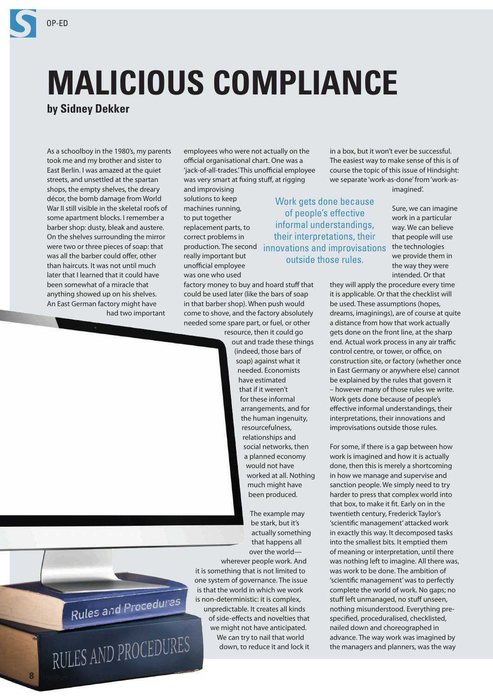

## **MALICIOUS COMPLIANCE**

**by Sidney Dekker**

As a schoolboy in the 1980's, my parents took me and my brother and sister to East Berlin. I was amazed at the quiet streets, and unsettled at the spartan shops, the empty shelves, the dreary décor, the bomb damage from World War II still visible in the skeletal roofs of some apartment blocks. I remember a barber shop: dusty, bleak and austere. On the shelves surrounding the mirror were two or three pieces of soap: that was all the barber could offer, other than haircuts. It was not until much later that I learned that it could have been somewhat of a miracle that anything showed up on his shelves. An East German factory might have had two important

Rules and Procedures

RULES AND PROCEDURES

employees who were not actually on the official organisational chart. One was a 'jack-of-all-trades.' This unofficial employee was very smart at fixing stuff, at rigging

and improvising solutions to keep machines running, to put together replacement parts, to correct problems in production. The second really important but unofficial employee was one who used

factory money to buy and hoard stuff that could be used later (like the bars of soap in that barber shop). When push would come to shove, and the factory absolutely needed some spare part, or fuel, or other

resource, then it could go out and trade these things (indeed, those bars of soap) against what it needed. Economists have estimated that if it weren't for these informal arrangements, and for the human ingenuity, resourcefulness, relationships and social networks, then a planned economy would not have worked at all. Nothing much might have been produced.

> The example may be stark, but it's actually something that happens all over the world—

wherever people work. And it is something that is not limited to one system of governance. The issue is that the world in which we work is non-deterministic: it is complex,

unpredictable. It creates all kinds of side-effects and novelties that we might not have anticipated. We can try to nail that world down, to reduce it and lock it

in a box, but it won't ever be successful. The easiest way to make sense of this is of course the topic of this issue of Hindsight: we separate 'work-as-done' from 'work-asimagined'.

Work gets done because of people's effective informal understandings, their interpretations, their innovations and improvisations outside those rules.

Sure, we can imagine work in a particular way. We can believe that people will use the technologies we provide them in the way they were intended. Or that

they will apply the procedure every time it is applicable. Or that the checklist will be used. These assumptions (hopes, dreams, imaginings), are of course at quite a distance from how that work actually gets done on the front line, at the sharp end. Actual work process in any air traffic control centre, or tower, or office, on construction site, or factory (whether once in East Germany or anywhere else) cannot be explained by the rules that govern it – however many of those rules we write. Work gets done because of people's effective informal understandings, their interpretations, their innovations and improvisations outside those rules.

For some, if there is a gap between how work is imagined and how it is actually done, then this is merely a shortcoming in how we manage and supervise and sanction people. We simply need to try harder to press that complex world into that box, to make it fit. Early on in the twentieth century, Frederick Taylor's 'scientific management' attacked work in exactly this way. It decomposed tasks into the smallest bits. It emptied them of meaning or interpretation, until there was nothing left to imagine. All there was, was work to be done. The ambition of 'scientific management' was to perfectly complete the world of work. No gaps; no stuff left unmanaged, no stuff unseen, nothing misunderstood. Everything prespecified, proceduralised, checklisted, nailed down and choreographed in advance. The way work was imagined by the managers and planners, was the way